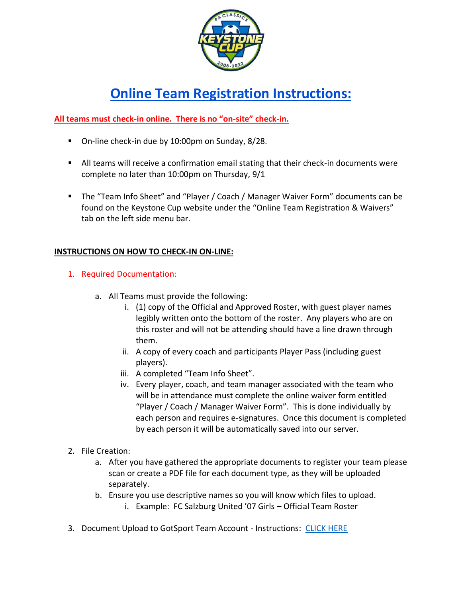

# **Online Team Registration Instructions:**

## **All teams must check-in online. There is no "on-site" check-in.**

- On-line check-in due by 10:00pm on Sunday, 8/28.
- All teams will receive a confirmation email stating that their check-in documents were complete no later than 10:00pm on Thursday, 9/1
- The "Team Info Sheet" and "Player / Coach / Manager Waiver Form" documents can be found on the Keystone Cup website under the "Online Team Registration & Waivers" tab on the left side menu bar.

### **INSTRUCTIONS ON HOW TO CHECK-IN ON-LINE:**

- 1. Required Documentation:
	- a. All Teams must provide the following:
		- i. (1) copy of the Official and Approved Roster, with guest player names legibly written onto the bottom of the roster. Any players who are on this roster and will not be attending should have a line drawn through them.
		- ii. A copy of every coach and participants Player Pass (including guest players).
		- iii. A completed "Team Info Sheet".
		- iv. Every player, coach, and team manager associated with the team who will be in attendance must complete the online waiver form entitled "Player / Coach / Manager Waiver Form". This is done individually by each person and requires e-signatures. Once this document is completed by each person it will be automatically saved into our server.
- 2. File Creation:
	- a. After you have gathered the appropriate documents to register your team please scan or create a PDF file for each document type, as they will be uploaded separately.
	- b. Ensure you use descriptive names so you will know which files to upload.
		- i. Example: FC Salzburg United '07 Girls Official Team Roster
- 3. Document Upload to GotSport Team Account Instructions: [CLICK HERE](https://gotsport.zendesk.com/hc/en-us/articles/4408013292183-How-do-I-Upload-Documents-for-Online-Check-In-)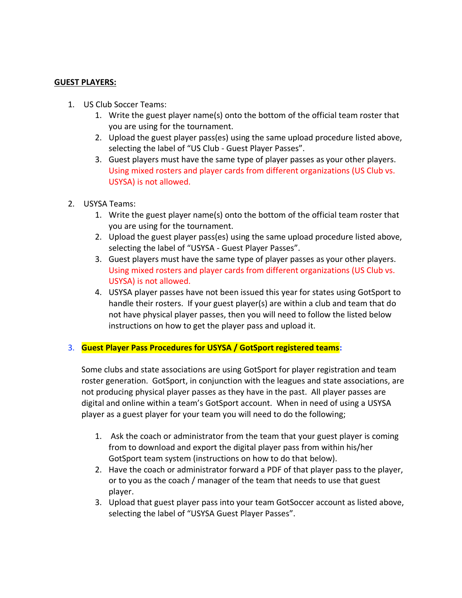#### **GUEST PLAYERS:**

- 1. US Club Soccer Teams:
	- 1. Write the guest player name(s) onto the bottom of the official team roster that you are using for the tournament.
	- 2. Upload the guest player pass(es) using the same upload procedure listed above, selecting the label of "US Club - Guest Player Passes".
	- 3. Guest players must have the same type of player passes as your other players. Using mixed rosters and player cards from different organizations (US Club vs. USYSA) is not allowed.
- 2. USYSA Teams:
	- 1. Write the guest player name(s) onto the bottom of the official team roster that you are using for the tournament.
	- 2. Upload the guest player pass(es) using the same upload procedure listed above, selecting the label of "USYSA - Guest Player Passes".
	- 3. Guest players must have the same type of player passes as your other players. Using mixed rosters and player cards from different organizations (US Club vs. USYSA) is not allowed.
	- 4. USYSA player passes have not been issued this year for states using GotSport to handle their rosters. If your guest player(s) are within a club and team that do not have physical player passes, then you will need to follow the listed below instructions on how to get the player pass and upload it.

#### 3. **Guest Player Pass Procedures for USYSA / GotSport registered teams:**

Some clubs and state associations are using GotSport for player registration and team roster generation. GotSport, in conjunction with the leagues and state associations, are not producing physical player passes as they have in the past. All player passes are digital and online within a team's GotSport account. When in need of using a USYSA player as a guest player for your team you will need to do the following;

- 1. Ask the coach or administrator from the team that your guest player is coming from to download and export the digital player pass from within his/her GotSport team system (instructions on how to do that below).
- 2. Have the coach or administrator forward a PDF of that player pass to the player, or to you as the coach / manager of the team that needs to use that guest player.
- 3. Upload that guest player pass into your team GotSoccer account as listed above, selecting the label of "USYSA Guest Player Passes".